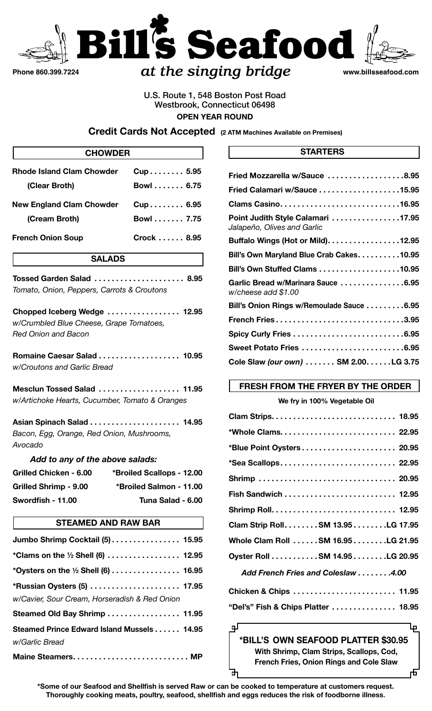

# *at the singing bridge* **www.billsseafood.com**

## U.S. Route 1, 548 Boston Post Road Westbrook, Connecticut 06498 **OPEN YEAR ROUND**

**Credit Cards Not Accepted (2 ATM Machines Available on Premises)**

| <b>CHOWDER</b>                                                                                        |                           |
|-------------------------------------------------------------------------------------------------------|---------------------------|
| <b>Rhode Island Clam Chowder</b>                                                                      | Cup 5.95                  |
| (Clear Broth)                                                                                         | Bowl 6.75                 |
| <b>New England Clam Chowder</b>                                                                       | Cup 6.95                  |
| (Cream Broth)                                                                                         | Bowl 7.75                 |
| <b>French Onion Soup</b>                                                                              | Crock  8.95               |
| <b>SALADS</b>                                                                                         |                           |
| Tossed Garden Salad  8.95<br>Tomato, Onion, Peppers, Carrots & Croutons                               |                           |
| Chopped Iceberg Wedge  12.95<br>w/Crumbled Blue Cheese, Grape Tomatoes,<br><b>Red Onion and Bacon</b> |                           |
| Romaine Caesar Salad  10.95<br>w/Croutons and Garlic Bread                                            |                           |
| Mesclun Tossed Salad<br>w/Artichoke Hearts, Cucumber, Tomato & Oranges                                | . 11.95                   |
| Asian Spinach Salad  14.95<br>Bacon, Egg, Orange, Red Onion, Mushrooms,<br>Avocado                    |                           |
| Add to any of the above salads:                                                                       |                           |
| Grilled Chicken - 6.00                                                                                | *Broiled Scallops - 12.00 |
| <b>Grilled Shrimp - 9.00</b>                                                                          | *Broiled Salmon - 11.00   |
| Swordfish - 11.00                                                                                     | Tuna Salad - 6.00         |
| <b>STEAMED AND RAW BAR</b>                                                                            |                           |
| Jumbo Shrimp Cocktail (5) 15.95                                                                       |                           |
| *Clams on the $\frac{1}{2}$ Shell (6)  12.95                                                          |                           |
| *Oysters on the $\frac{1}{2}$ Shell (6)  16.95                                                        |                           |
| *Russian Oysters (5)  17.95<br>w/Cavier, Sour Cream, Horseradish & Red Onion                          |                           |
| Steamed Old Bay Shrimp  11.95                                                                         |                           |
| Steamed Prince Edward Island Mussels 14.95<br>w/Garlic Bread                                          |                           |

| Maine Steamers MP |  |  |  |  |  |  |  |  |  |  |  |  |  |  |
|-------------------|--|--|--|--|--|--|--|--|--|--|--|--|--|--|
|                   |  |  |  |  |  |  |  |  |  |  |  |  |  |  |

### **STARTERS**

| Fried Mozzarella w/Sauce 8.95                                    |
|------------------------------------------------------------------|
| Fried Calamari w/Sauce 15.95                                     |
| Clams Casino16.95                                                |
| Point Judith Style Calamari 17.95<br>Jalapeño, Olives and Garlic |
| Buffalo Wings (Hot or Mild). 12.95                               |
| Bill's Own Maryland Blue Crab Cakes10.95                         |
| Bill's Own Stuffed Clams 10.95                                   |
| Garlic Bread w/Marinara Sauce 6.95<br>w/cheese add \$1.00        |
| Bill's Onion Rings w/Remoulade Sauce 6.95                        |
| French Fries3.95                                                 |
|                                                                  |
| Sweet Potato Fries 6.95                                          |
| Cole Slaw (our own)  SM 2.00LG 3.75                              |
|                                                                  |

# **FRESH FROM THE FRYER BY THE ORDER**

### **We fry in 100% Vegetable Oil**

| *Blue Point Oysters 20.95          |
|------------------------------------|
| *Sea Scallops 22.95                |
| Shrimp  20.95                      |
|                                    |
|                                    |
| Clam Strip Roll. SM 13.95 LG 17.95 |
| Whole Clam Roll SM 16.95LG 21.95   |
| Oyster Roll SM 14.95 LG 20.95      |
|                                    |
| Chicken & Chips  11.95             |
|                                    |

| "Del's" Fish & Chips Platter 18.95 |  |
|------------------------------------|--|
|                                    |  |

ᡅ

**\*BILL'S OWN SEAFOOD PLATTER \$30.95 With Shrimp, Clam Strips, Scallops, Cod, French Fries, Onion Rings and Cole Slaw**

**\*Some of our Seafood and Shellfish is served Raw or can be cooked to temperature at customers request. Thoroughly cooking meats, poultry, seafood, shellfish and eggs reduces the risk of foodborne illness**.

ᇛ

ᅪ